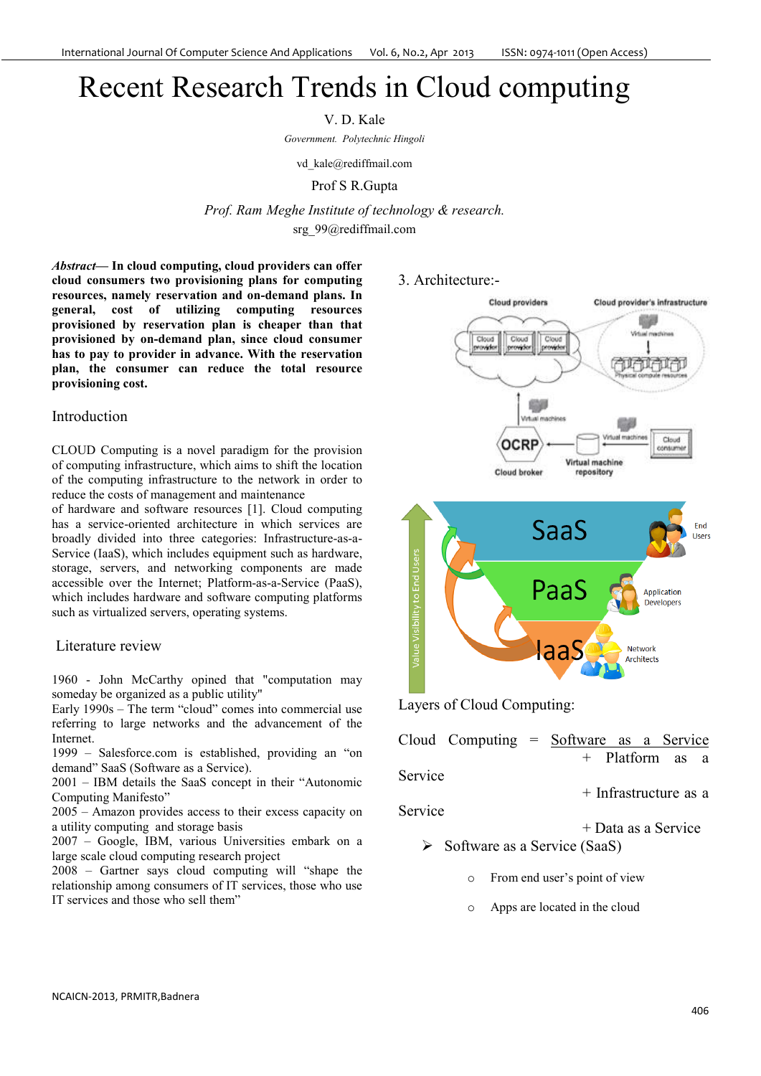# Recent Research Trends in Cloud computing

V. D. Kale

*Government. Polytechnic Hingoli*

vd kale@rediffmail.com

#### Prof S R.Gupta

*Prof. Ram Meghe Institute of technology & research.*  srg\_99@rediffmail.com

*Abstract***— In cloud computing, cloud providers can offer cloud consumers two provisioning plans for computing resources, namely reservation and on-demand plans. In general, cost of utilizing computing resources provisioned by reservation plan is cheaper than that provisioned by on-demand plan, since cloud consumer has to pay to provider in advance. With the reservation plan, the consumer can reduce the total resource provisioning cost.** 

### Introduction

CLOUD Computing is a novel paradigm for the provision of computing infrastructure, which aims to shift the location of the computing infrastructure to the network in order to reduce the costs of management and maintenance

of hardware and software resources [1]. Cloud computing has a service-oriented architecture in which services are broadly divided into three categories: Infrastructure-as-a-Service (IaaS), which includes equipment such as hardware, storage, servers, and networking components are made accessible over the Internet; Platform-as-a-Service (PaaS), which includes hardware and software computing platforms such as virtualized servers, operating systems.

### Literature review

1960 - John McCarthy opined that "computation may someday be organized as a public utility"

Early 1990s – The term "cloud" comes into commercial use referring to large networks and the advancement of the Internet.

1999 – Salesforce.com is established, providing an "on demand" SaaS (Software as a Service).

2001 – IBM details the SaaS concept in their "Autonomic Computing Manifesto"

2005 – Amazon provides access to their excess capacity on a utility computing and storage basis

2007 – Google, IBM, various Universities embark on a large scale cloud computing research project

2008 – Gartner says cloud computing will "shape the relationship among consumers of IT services, those who use IT services and those who sell them"





Layers of Cloud Computing:

| Service<br>Service |  | $\triangleright$ Software as a Service (SaaS) | Cloud Computing $=$ Software as a Service<br>+ Platform as a<br>$+$ Infrastructure as a<br>+ Data as a Service |
|--------------------|--|-----------------------------------------------|----------------------------------------------------------------------------------------------------------------|

- o From end user's point of view
- o Apps are located in the cloud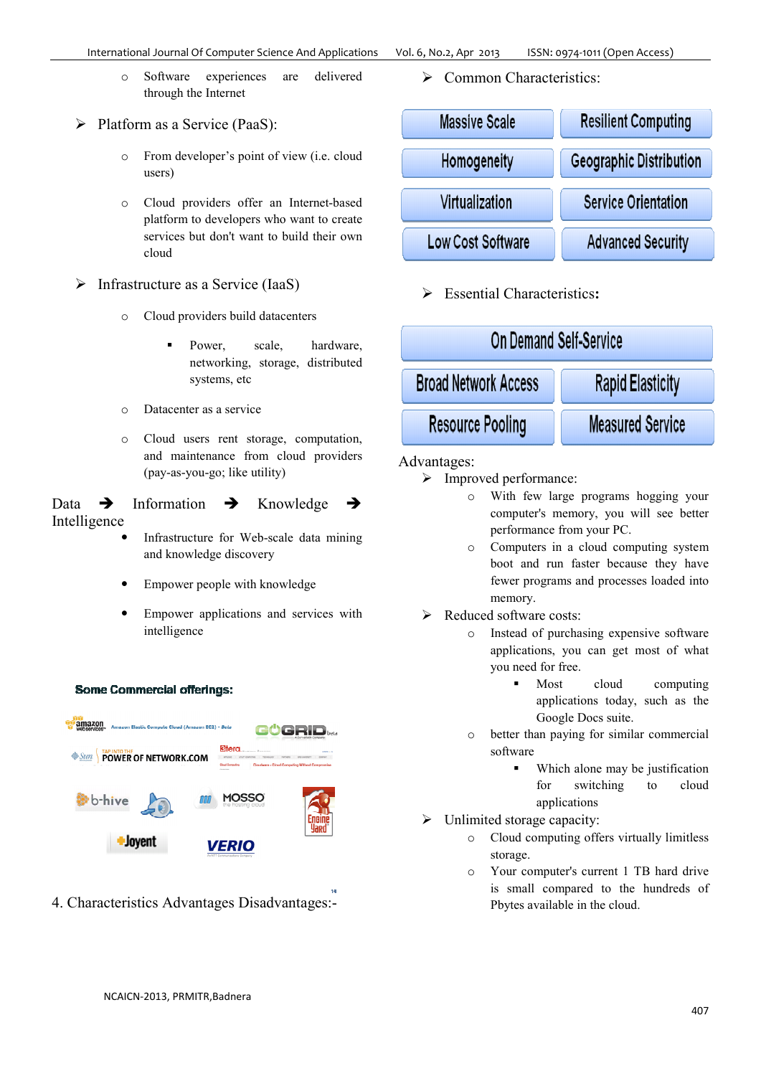o Software experiences are delivered through the Internet

 $\triangleright$  Platform as a Service (PaaS):

- o From developer's point of view (i.e. cloud users)
- o Cloud providers offer an Internet-based platform to developers who want to create services but don't want to build their own cloud
- $\triangleright$  Infrastructure as a Service (IaaS)
	- o Cloud providers build datacenters
		- - Power, scale, hardware, networking, storage, distributed systems, etc
	- o Datacenter as a service
	- o Cloud users rent storage, computation, and maintenance from cloud providers (pay-as-you-go; like utility)

Data  $\rightarrow$  Information  $\rightarrow$  Knowledge  $\rightarrow$ Intelligence

- Infrastructure for Web-scale data mining and knowledge discovery
- Empower people with knowledge
- Empower applications and services with intelligence

#### **Some Commercial offerings:**



4. Characteristics Advantages Disadvantages:-

Common Characteristics:



Essential Characteristics**:**



#### Advantages:

- Improved performance:
	- o With few large programs hogging your computer's memory, you will see better performance from your PC.
	- o Computers in a cloud computing system boot and run faster because they have fewer programs and processes loaded into memory.
- $\triangleright$  Reduced software costs:
	- o Instead of purchasing expensive software applications, you can get most of what you need for free.
		- - Most cloud computing applications today, such as the Google Docs suite.
	- o better than paying for similar commercial software
		- - Which alone may be justification for switching to cloud applications
- $\triangleright$  Unlimited storage capacity:
	- o Cloud computing offers virtually limitless storage.
	- o Your computer's current 1 TB hard drive is small compared to the hundreds of Pbytes available in the cloud.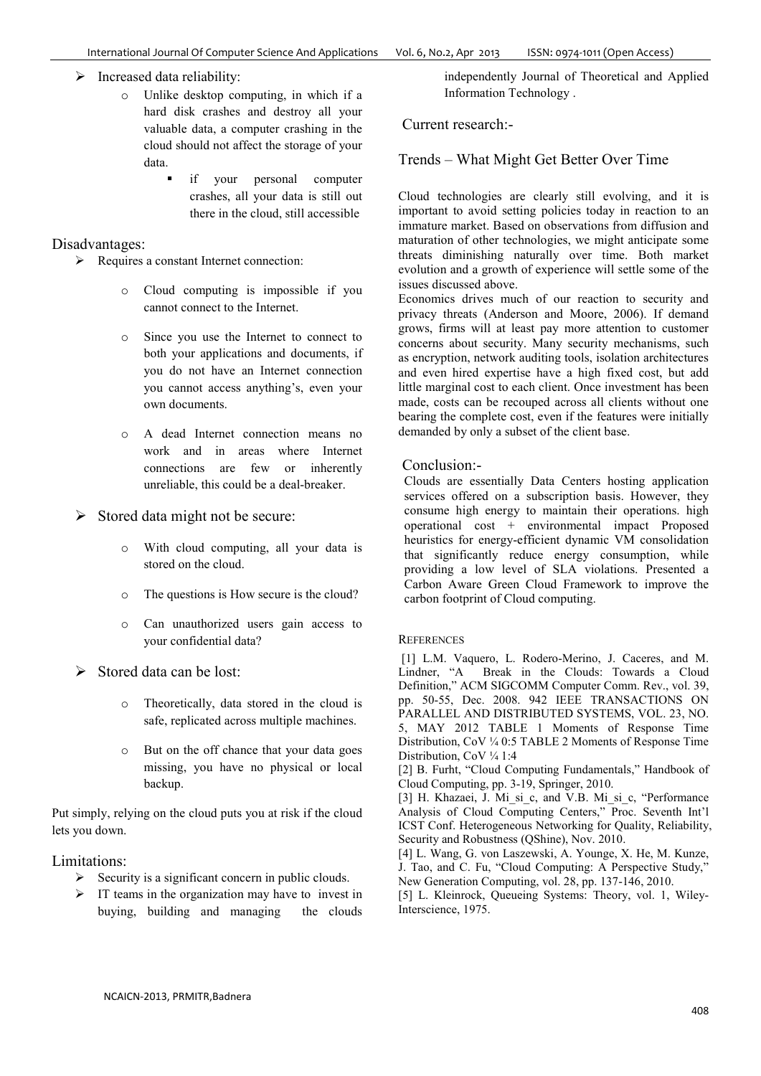$\triangleright$  Increased data reliability:

- o Unlike desktop computing, in which if a hard disk crashes and destroy all your valuable data, a computer crashing in the cloud should not affect the storage of your data.
	- if your personal computer crashes, all your data is still out there in the cloud, still accessible

## Disadvantages:

- $\triangleright$  Requires a constant Internet connection:
	- o Cloud computing is impossible if you cannot connect to the Internet.
	- o Since you use the Internet to connect to both your applications and documents, if you do not have an Internet connection you cannot access anything's, even your own documents.
	- o A dead Internet connection means no work and in areas where Internet connections are few or inherently unreliable, this could be a deal-breaker.
- $\triangleright$  Stored data might not be secure:
	- o With cloud computing, all your data is stored on the cloud.
	- o The questions is How secure is the cloud?
	- o Can unauthorized users gain access to your confidential data?
- $\triangleright$  Stored data can be lost:
	- o Theoretically, data stored in the cloud is safe, replicated across multiple machines.
	- o But on the off chance that your data goes missing, you have no physical or local backup.

Put simply, relying on the cloud puts you at risk if the cloud lets you down.

Limitations:

- $\triangleright$  Security is a significant concern in public clouds.
- $\triangleright$  IT teams in the organization may have to invest in buying, building and managing the clouds

independently Journal of Theoretical and Applied Information Technology .

## Current research:-

Trends – What Might Get Better Over Time

Cloud technologies are clearly still evolving, and it is important to avoid setting policies today in reaction to an immature market. Based on observations from diffusion and maturation of other technologies, we might anticipate some threats diminishing naturally over time. Both market evolution and a growth of experience will settle some of the issues discussed above.

Economics drives much of our reaction to security and privacy threats (Anderson and Moore, 2006). If demand grows, firms will at least pay more attention to customer concerns about security. Many security mechanisms, such as encryption, network auditing tools, isolation architectures and even hired expertise have a high fixed cost, but add little marginal cost to each client. Once investment has been made, costs can be recouped across all clients without one bearing the complete cost, even if the features were initially demanded by only a subset of the client base.

## Conclusion:-

Clouds are essentially Data Centers hosting application services offered on a subscription basis. However, they consume high energy to maintain their operations. high operational cost + environmental impact Proposed heuristics for energy-efficient dynamic VM consolidation that significantly reduce energy consumption, while providing a low level of SLA violations. Presented a Carbon Aware Green Cloud Framework to improve the carbon footprint of Cloud computing.

#### **REFERENCES**

 [1] L.M. Vaquero, L. Rodero-Merino, J. Caceres, and M. Break in the Clouds: Towards a Cloud Definition," ACM SIGCOMM Computer Comm. Rev., vol. 39, pp. 50-55, Dec. 2008. 942 IEEE TRANSACTIONS ON PARALLEL AND DISTRIBUTED SYSTEMS, VOL. 23, NO. 5, MAY 2012 TABLE 1 Moments of Response Time Distribution, CoV ¼ 0:5 TABLE 2 Moments of Response Time Distribution, CoV 1/4 1:4

[2] B. Furht, "Cloud Computing Fundamentals," Handbook of Cloud Computing, pp. 3-19, Springer, 2010.

[3] H. Khazaei, J. Mi\_si\_c, and V.B. Mi\_si\_c, "Performance Analysis of Cloud Computing Centers," Proc. Seventh Int'l ICST Conf. Heterogeneous Networking for Quality, Reliability, Security and Robustness (QShine), Nov. 2010.

[4] L. Wang, G. von Laszewski, A. Younge, X. He, M. Kunze, J. Tao, and C. Fu, "Cloud Computing: A Perspective Study," New Generation Computing, vol. 28, pp. 137-146, 2010.

[5] L. Kleinrock, Queueing Systems: Theory, vol. 1, Wiley-Interscience, 1975.